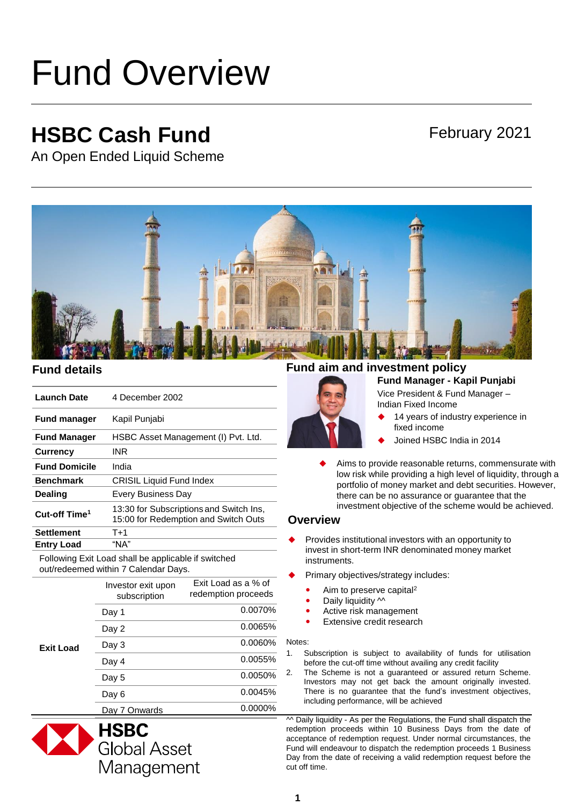# Fund Overview

# **HSBC Cash Fund**

## February 2021

An Open Ended Liquid Scheme



| <b>Launch Date</b>        | 4 December 2002                                                                 |
|---------------------------|---------------------------------------------------------------------------------|
| <b>Fund manager</b>       | Kapil Punjabi                                                                   |
| <b>Fund Manager</b>       | HSBC Asset Management (I) Pvt. Ltd.                                             |
| <b>Currency</b>           | INR                                                                             |
| <b>Fund Domicile</b>      | India                                                                           |
| <b>Benchmark</b>          | <b>CRISIL Liquid Fund Index</b>                                                 |
| Dealing                   | Every Business Day                                                              |
| Cut-off Time <sup>1</sup> | 13:30 for Subscriptions and Switch Ins,<br>15:00 for Redemption and Switch Outs |
| <b>Settlement</b>         | $T+1$                                                                           |
| <b>Entry Load</b>         | "NA"                                                                            |

Following Exit Load shall be applicable if switched out/redeemed within 7 Calendar Days.

| <b>Exit Load</b> | Investor exit upon<br>subscription | Exit Load as a % of<br>redemption proceeds |
|------------------|------------------------------------|--------------------------------------------|
|                  | Day 1                              | 0.0070%                                    |
|                  | Day 2                              | 0.0065%                                    |
|                  | Day 3                              | 0.0060%                                    |
|                  | Day 4                              | $0.0055\%$                                 |
|                  | Day 5                              | 0.0050%                                    |
|                  | Day 6                              | 0.0045%                                    |
|                  | Day 7 Onwards                      | 0.0000%                                    |



## **Fund details Fund aim and investment policy**

## **Fund Manager - Kapil Punjabi**  Vice President & Fund Manager –

Indian Fixed Income

- 14 years of industry experience in fixed income
- Joined HSBC India in 2014
- Aims to provide reasonable returns, commensurate with low risk while providing a high level of liquidity, through a portfolio of money market and debt securities. However, there can be no assurance or guarantee that the investment objective of the scheme would be achieved.

## **Overview**

- Provides institutional investors with an opportunity to invest in short-term INR denominated money market instruments.
- Primary objectives/strategy includes:
	- Aim to preserve capital<sup>2</sup>
	- Daily liquidity  $\sim$
	- Active risk management
	- Extensive credit research

#### Notes:

- 1. Subscription is subject to availability of funds for utilisation before the cut-off time without availing any credit facility
- 2. The Scheme is not a guaranteed or assured return Scheme. Investors may not get back the amount originally invested. There is no guarantee that the fund's investment objectives, including performance, will be achieved

 $\sim$  Daily liquidity - As per the Regulations, the Fund shall dispatch the redemption proceeds within 10 Business Days from the date of acceptance of redemption request. Under normal circumstances, the Fund will endeavour to dispatch the redemption proceeds 1 Business Day from the date of receiving a valid redemption request before the cut off time.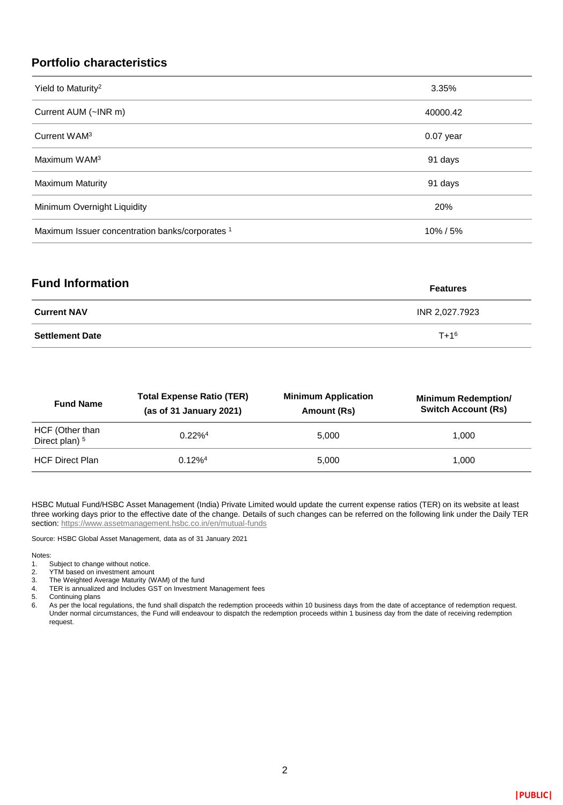## **Portfolio characteristics**

| Yield to Maturity <sup>2</sup>                  | 3.35%       |
|-------------------------------------------------|-------------|
| Current AUM (~INR m)                            | 40000.42    |
| Current WAM <sup>3</sup>                        | $0.07$ year |
| Maximum WAM <sup>3</sup>                        | 91 days     |
| <b>Maximum Maturity</b>                         | 91 days     |
| Minimum Overnight Liquidity                     | 20%         |
| Maximum Issuer concentration banks/corporates 1 | 10%/5%      |

| <b>Fund Information</b> | <b>Features</b> |
|-------------------------|-----------------|
| <b>Current NAV</b>      | INR 2,027.7923  |
| <b>Settlement Date</b>  | $T + 1^6$       |

| <b>Fund Name</b>                             | <b>Total Expense Ratio (TER)</b><br>(as of $31$ January 2021) | <b>Minimum Application</b><br>Amount (Rs) | <b>Minimum Redemption/</b><br><b>Switch Account (Rs)</b> |
|----------------------------------------------|---------------------------------------------------------------|-------------------------------------------|----------------------------------------------------------|
| HCF (Other than<br>Direct plan) <sup>5</sup> | $0.22\%4$                                                     | 5.000                                     | 1.000                                                    |
| <b>HCF Direct Plan</b>                       | $0.12\%$ <sup>4</sup>                                         | 5.000                                     | 1.000                                                    |

HSBC Mutual Fund/HSBC Asset Management (India) Private Limited would update the current expense ratios (TER) on its website at least three working days prior to the effective date of the change. Details of such changes can be referred on the following link under the Daily TER section:<https://www.assetmanagement.hsbc.co.in/en/mutual-funds>

Source: HSBC Global Asset Management, data as of 31 January 2021

#### Notes:

- 1. Subject to change without notice.<br>2. YTM based on investment amour
- 2. YTM based on investment amount<br>3. The Weighted Average Maturity (W
- 3. The Weighted Average Maturity (WAM) of the fund
- 4. TER is annualized and Includes GST on Investment Management fees
- 5. Continuing plans
- 6. As per the local regulations, the fund shall dispatch the redemption proceeds within 10 business days from the date of acceptance of redemption request. Under normal circumstances, the Fund will endeavour to dispatch the redemption proceeds within 1 business day from the date of receiving redemption request.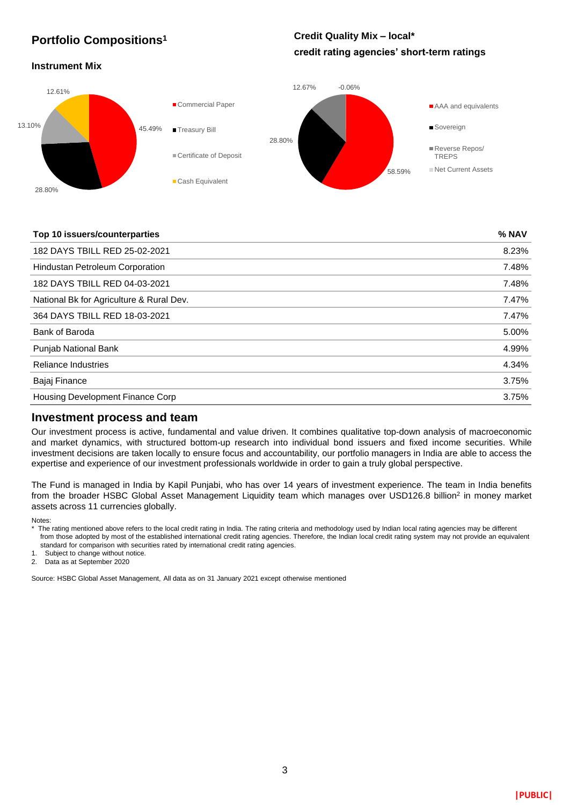## **Portfolio Compositions<sup>1</sup>**

## **Credit Quality Mix – local\* credit rating agencies' short-term ratings**

## **Instrument Mix**



### **Top 10 issuers/counterparties % NAV**

| 182 DAYS TBILL RED 25-02-2021            | 8.23% |
|------------------------------------------|-------|
| <b>Hindustan Petroleum Corporation</b>   | 7.48% |
| 182 DAYS TBILL RED 04-03-2021            | 7.48% |
| National Bk for Agriculture & Rural Dev. | 7.47% |
| 364 DAYS TBILL RED 18-03-2021            | 7.47% |
| Bank of Baroda                           | 5.00% |
| <b>Punjab National Bank</b>              | 4.99% |
| <b>Reliance Industries</b>               | 4.34% |
| Bajaj Finance                            | 3.75% |
| Housing Development Finance Corp         | 3.75% |
|                                          |       |

## **Investment process and team**

Our investment process is active, fundamental and value driven. It combines qualitative top-down analysis of macroeconomic and market dynamics, with structured bottom-up research into individual bond issuers and fixed income securities. While investment decisions are taken locally to ensure focus and accountability, our portfolio managers in India are able to access the expertise and experience of our investment professionals worldwide in order to gain a truly global perspective.

The Fund is managed in India by Kapil Punjabi, who has over 14 years of investment experience. The team in India benefits from the broader HSBC Global Asset Management Liquidity team which manages over USD126.8 billion<sup>2</sup> in money market assets across 11 currencies globally.

Notes:

\* The rating mentioned above refers to the local credit rating in India. The rating criteria and methodology used by Indian local rating agencies may be different from those adopted by most of the established international credit rating agencies. Therefore, the Indian local credit rating system may not provide an equivalent standard for comparison with securities rated by international credit rating agencies.

1. Subject to change without notice.

2. Data as at September 2020

Source: HSBC Global Asset Management, All data as on 31 January 2021 except otherwise mentioned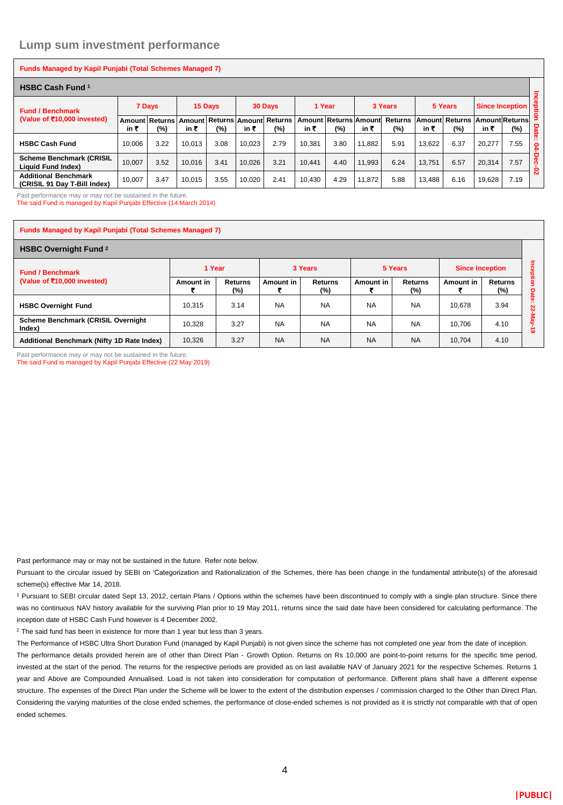## **Lump sum investment performance**

| Funds Managed by Kapil Punjabi (Total Schemes Managed 7)    |        |                         |        |         |        |                                      |        |                              |        |                       |                |                |                        |                                |                 |
|-------------------------------------------------------------|--------|-------------------------|--------|---------|--------|--------------------------------------|--------|------------------------------|--------|-----------------------|----------------|----------------|------------------------|--------------------------------|-----------------|
| <b>HSBC Cash Fund 1</b>                                     |        |                         |        |         |        |                                      |        |                              |        |                       |                | $\overline{a}$ |                        |                                |                 |
| <b>Fund / Benchmark</b>                                     |        | 7 Days                  |        | 15 Days |        | 30 Days                              | 1 Year |                              |        | 3 Years               |                | 5 Years        | <b>Since Inception</b> |                                | ಕಿ<br>$\Omega$  |
| (Value of $\bar{z}$ 10,000 invested)                        | in ₹   | Amount Returns I<br>(%) | in ₹   | $(\%)$  | in ₹   | Amount Returns Amount Returns<br>(%) | in ₹   | Amount Returns Amount<br>(%) | in ₹   | <b>Returns</b><br>(%) | Amount<br>in ₹ | Returns<br>(%) | in ₹                   | <b>AmountReturns</b><br>$(\%)$ | Date            |
| <b>HSBC Cash Fund</b>                                       | 10.006 | 3.22                    | 10.013 | 3.08    | 10.023 | 2.79                                 | 10.381 | 3.80                         | 11.882 | 5.91                  | 13.622         | 6.37           | 20.277                 | 7.55                           | $\cdots$<br>င္ဇ |
| <b>Scheme Benchmark (CRISIL</b><br>Liquid Fund Index)       | 10.007 | 3.52                    | 10.016 | 3.41    | 10.026 | 3.21                                 | 10.441 | 4.40                         | 11.993 | 6.24                  | 13.751         | 6.57           | 20.314                 | 7.57                           | c<br>Õ<br>Č     |
| <b>Additional Benchmark</b><br>(CRISIL 91 Dav T-Bill Index) | 10.007 | 3.47                    | 10.015 | 3.55    | 10.020 | 2.41                                 | 10,430 | 4.29                         | 11,872 | 5.88                  | 13,488         | 6.16           | 19,628                 | 7.19                           | N               |

Past performance may or may not be sustained in the future.

The said Fund is managed by Kapil Punjabi Effective (14 March 2014)

#### **Funds Managed by Kapil Punjabi (Total Schemes Managed 7)**

| <b>HSBC Overnight Fund 2</b>                           |           |                          |           |                       |           |                |                        |                       |           |
|--------------------------------------------------------|-----------|--------------------------|-----------|-----------------------|-----------|----------------|------------------------|-----------------------|-----------|
| <b>Fund / Benchmark</b><br>(Value of ₹10,000 invested) | 1 Year    |                          |           | 3 Years               |           | 5 Years        | <b>Since Inception</b> |                       |           |
|                                                        | Amount in | <b>Returns</b><br>$(\%)$ | Amount in | <b>Returns</b><br>(%) | Amount in | Returns<br>(%) | Amount in              | <b>Returns</b><br>(%) | o         |
| <b>HSBC Overnight Fund</b>                             | 10.315    | 3.14                     | <b>NA</b> | <b>NA</b>             | <b>NA</b> | <b>NA</b>      | 10.678                 | 3.94                  | -25<br>N  |
| Scheme Benchmark (CRISIL Overnight<br>Index)           | 10.328    | 3.27                     | <b>NA</b> | <b>NA</b>             | <b>NA</b> | <b>NA</b>      | 10.706                 | 4.10                  | $\bullet$ |
| Additional Benchmark (Nifty 1D Rate Index)             | 10,326    | 3.27                     | <b>NA</b> | <b>NA</b>             | <b>NA</b> | <b>NA</b>      | 10.704                 | 4.10                  |           |

Past performance may or may not be sustained in the future. The said Fund is managed by Kapil Punjabi Effective (22 May 2019)

Past performance may or may not be sustained in the future. Refer note below.

Pursuant to the circular issued by SEBI on 'Categorization and Rationalization of the Schemes, there has been change in the fundamental attribute(s) of the aforesaid scheme(s) effective Mar 14, 2018.

<sup>1</sup> Pursuant to SEBI circular dated Sept 13, 2012, certain Plans / Options within the schemes have been discontinued to comply with a single plan structure. Since there was no continuous NAV history available for the surviving Plan prior to 19 May 2011, returns since the said date have been considered for calculating performance. The inception date of HSBC Cash Fund however is 4 December 2002.

<sup>2</sup> The said fund has been in existence for more than 1 year but less than 3 years.

The Performance of HSBC Ultra Short Duration Fund (managed by Kapil Punjabi) is not given since the scheme has not completed one year from the date of inception. The performance details provided herein are of other than Direct Plan - Growth Option. Returns on Rs 10,000 are point-to-point returns for the specific time period, invested at the start of the period. The returns for the respective periods are provided as on last available NAV of January 2021 for the respective Schemes. Returns 1 year and Above are Compounded Annualised. Load is not taken into consideration for computation of performance. Different plans shall have a different expense structure. The expenses of the Direct Plan under the Scheme will be lower to the extent of the distribution expenses / commission charged to the Other than Direct Plan. Considering the varying maturities of the close ended schemes, the performance of close-ended schemes is not provided as it is strictly not comparable with that of open ended schemes.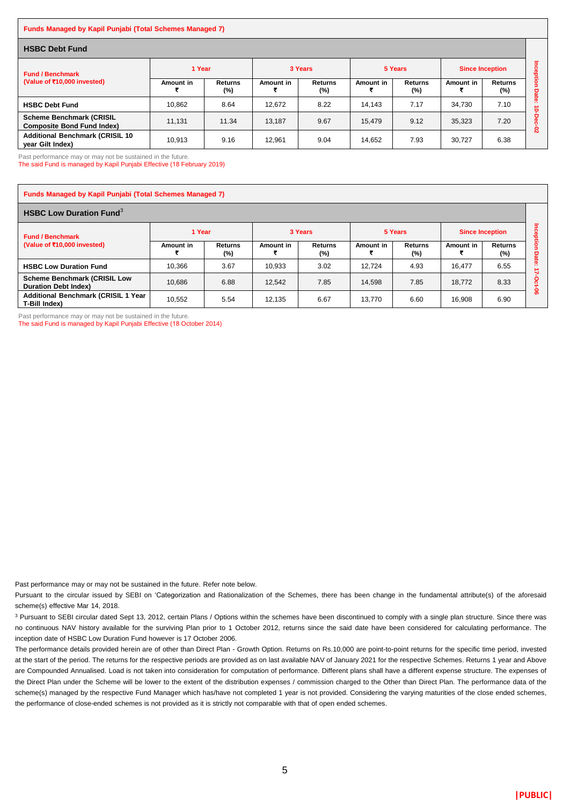#### **Funds Managed by Kapil Punjabi (Total Schemes Managed 7)**

| <b>HSBC Debt Fund</b>                                                |           |                          |           |                          |           |                       |                        |                          |               |
|----------------------------------------------------------------------|-----------|--------------------------|-----------|--------------------------|-----------|-----------------------|------------------------|--------------------------|---------------|
| <b>Fund / Benchmark</b><br>(Value of ₹10,000 invested)               | 1 Year    |                          |           | 3 Years                  |           | 5 Years               | <b>Since Inception</b> |                          |               |
|                                                                      | Amount in | <b>Returns</b><br>$(\%)$ | Amount in | <b>Returns</b><br>$(\%)$ | Amount in | <b>Returns</b><br>(%) | Amount in              | <b>Returns</b><br>$(\%)$ | g<br>o        |
| <b>HSBC Debt Fund</b>                                                | 10.862    | 8.64                     | 12.672    | 8.22                     | 14.143    | 7.17                  | 34.730                 | 7.10                     | ᄛ<br>-25<br>c |
| <b>Scheme Benchmark (CRISIL</b><br><b>Composite Bond Fund Index)</b> | 11.131    | 11.34                    | 13.187    | 9.67                     | 15.479    | 9.12                  | 35.323                 | 7.20                     |               |
| <b>Additional Benchmark (CRISIL 10</b><br>year Gilt Index)           | 10.913    | 9.16                     | 12.961    | 9.04                     | 14.652    | 7.93                  | 30.727                 | 6.38                     | Ñ             |

Past performance may or may not be sustained in the future.

The said Fund is managed by Kapil Punjabi Effective (18 February 2019)

| <b>Funds Managed by Kapil Punjabi (Total Schemes Managed 7)</b>    |           |                   |           |                   |           |                       |                        |                          |                           |  |  |
|--------------------------------------------------------------------|-----------|-------------------|-----------|-------------------|-----------|-----------------------|------------------------|--------------------------|---------------------------|--|--|
| <b>HSBC Low Duration Fund</b> <sup>3</sup>                         |           |                   |           |                   |           |                       |                        |                          |                           |  |  |
| <b>Fund / Benchmark</b><br>(Value of $\bar{x}$ 10,000 invested)    | 1 Year    |                   | 3 Years   |                   | 5 Years   |                       | <b>Since Inception</b> |                          |                           |  |  |
|                                                                    | Amount in | Returns<br>$(\%)$ | Amount in | Returns<br>$(\%)$ | Amount in | <b>Returns</b><br>(%) | Amount in              | <b>Returns</b><br>$(\%)$ | $\overline{\bullet}$<br>σ |  |  |
| <b>HSBC Low Duration Fund</b>                                      | 10.366    | 3.67              | 10.933    | 3.02              | 12.724    | 4.93                  | 16.477                 | 6.55                     | $\sim$                    |  |  |
| <b>Scheme Benchmark (CRISIL Low</b><br><b>Duration Debt Index)</b> | 10.686    | 6.88              | 12.542    | 7.85              | 14,598    | 7.85                  | 18.772                 | 8.33                     |                           |  |  |
| Additional Benchmark (CRISIL 1 Year<br>T-Bill Index)               | 10.552    | 5.54              | 12.135    | 6.67              | 13.770    | 6.60                  | 16,908                 | 6.90                     | ႙ၟ                        |  |  |

Past performance may or may not be sustained in the future.

The said Fund is managed by Kapil Punjabi Effective (18 October 2014)

Past performance may or may not be sustained in the future. Refer note below.

Pursuant to the circular issued by SEBI on 'Categorization and Rationalization of the Schemes, there has been change in the fundamental attribute(s) of the aforesaid scheme(s) effective Mar 14, 2018.

<sup>3</sup> Pursuant to SEBI circular dated Sept 13, 2012, certain Plans / Options within the schemes have been discontinued to comply with a single plan structure. Since there was no continuous NAV history available for the surviving Plan prior to 1 October 2012, returns since the said date have been considered for calculating performance. The inception date of HSBC Low Duration Fund however is 17 October 2006.

The performance details provided herein are of other than Direct Plan - Growth Option. Returns on Rs.10,000 are point-to-point returns for the specific time period, invested at the start of the period. The returns for the respective periods are provided as on last available NAV of January 2021 for the respective Schemes. Returns 1 year and Above are Compounded Annualised. Load is not taken into consideration for computation of performance. Different plans shall have a different expense structure. The expenses of the Direct Plan under the Scheme will be lower to the extent of the distribution expenses / commission charged to the Other than Direct Plan. The performance data of the scheme(s) managed by the respective Fund Manager which has/have not completed 1 year is not provided. Considering the varying maturities of the close ended schemes, the performance of close-ended schemes is not provided as it is strictly not comparable with that of open ended schemes.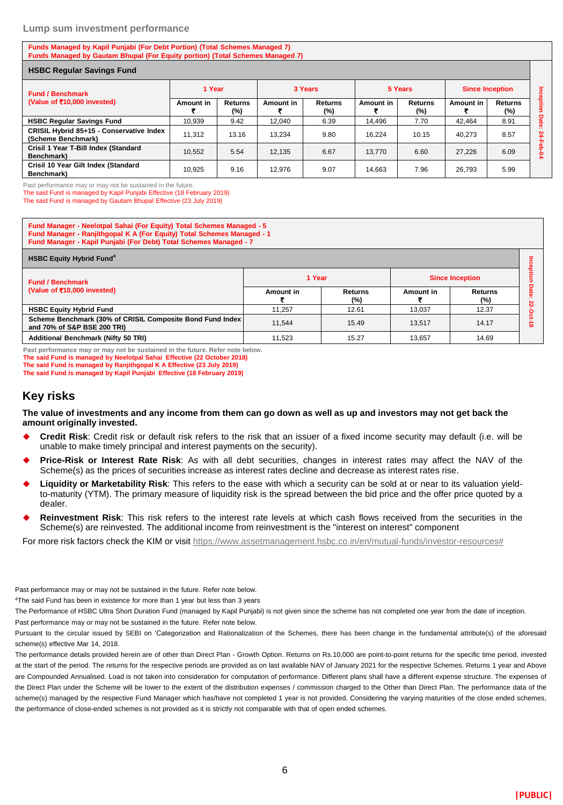#### **Lump sum investment performance**

**Funds Managed by Kapil Punjabi (For Debt Portion) (Total Schemes Managed 7) Funds Managed by Gautam Bhupal (For Equity portion) (Total Schemes Managed 7)**

| <b>HSBC Regular Savings Fund</b>                               |           |                          |           |                   |           |                          |                        |                       |         |
|----------------------------------------------------------------|-----------|--------------------------|-----------|-------------------|-----------|--------------------------|------------------------|-----------------------|---------|
| <b>Fund / Benchmark</b>                                        | 1 Year    |                          | 3 Years   |                   | 5 Years   |                          | <b>Since Inception</b> |                       | Ξ       |
| (Value of ₹10,000 invested)                                    | Amount in | <b>Returns</b><br>$(\%)$ | Amount in | Returns<br>$(\%)$ | Amount in | <b>Returns</b><br>$(\%)$ | Amount in              | <b>Returns</b><br>(%) | reption |
| <b>HSBC Regular Savings Fund</b>                               | 10.939    | 9.42                     | 12.040    | 6.39              | 14.496    | 7.70                     | 42.464                 | 8.91                  | Date    |
| CRISIL Hybrid 85+15 - Conservative Index<br>(Scheme Benchmark) | 11.312    | 13.16                    | 13.234    | 9.80              | 16.224    | 10.15                    | 40.273                 | 8.57                  | 24<br>π |
| Crisil 1 Year T-Bill Index (Standard<br>Benchmark)             | 10.552    | 5.54                     | 12.135    | 6.67              | 13.770    | 6.60                     | 27,226                 | 6.09                  | ၕ<br>ደ  |
| Crisil 10 Year Gilt Index (Standard<br>Benchmark)              | 10.925    | 9.16                     | 12.976    | 9.07              | 14.663    | 7.96                     | 26,793                 | 5.99                  |         |

Past performance may or may not be sustained in the future.

The said Fund is managed by Kapil Punjabi Effective (18 February 2019)

The said Fund is managed by Gautam Bhupal Effective (23 July 2019)

**Fund Manager - Neelotpal Sahai (For Equity) Total Schemes Managed - 5 Fund Manager - Ranjithgopal K A (For Equity) Total Schemes Managed - 1 Fund Manager - Kapil Punjabi (For Debt) Total Schemes Managed - 7**

| <b>HSBC Equity Hybrid Fund<sup>4</sup></b>                                               |           |                          |           |                          |          |  |  |  |  |
|------------------------------------------------------------------------------------------|-----------|--------------------------|-----------|--------------------------|----------|--|--|--|--|
| <b>Fund / Benchmark</b>                                                                  | 1 Year    |                          |           | <b>Since Inception</b>   |          |  |  |  |  |
| (Value of ₹10,000 invested)                                                              | Amount in | <b>Returns</b><br>$(\%)$ | Amount in | <b>Returns</b><br>$(\%)$ |          |  |  |  |  |
| <b>HSBC Equity Hybrid Fund</b>                                                           | 11.257    | 12.61                    | 13.037    | 12.37                    |          |  |  |  |  |
| Scheme Benchmark (30% of CRISIL Composite Bond Fund Index<br>and 70% of S&P BSE 200 TRI) | 11.544    | 15.49                    | 13.517    | 14.17                    | $\infty$ |  |  |  |  |
| <b>Additional Benchmark (Nifty 50 TRI)</b>                                               | 11.523    | 15.27                    | 13.657    | 14.69                    |          |  |  |  |  |

**Past performance may or may not be sustained in the future. Refer note below. The said Fund is managed by Neelotpal Sahai Effective (22 October 2018) The said Fund is managed by Ranjithgopal K A Effective (23 July 2019)**

**The said Fund is managed by Kapil Punjabi Effective (18 February 2019)**

## **Key risks**

**The value of investments and any income from them can go down as well as up and investors may not get back the amount originally invested.** 

- **Credit Risk**: Credit risk or default risk refers to the risk that an issuer of a fixed income security may default (i.e. will be unable to make timely principal and interest payments on the security).
- **Price-Risk or Interest Rate Risk**: As with all debt securities, changes in interest rates may affect the NAV of the Scheme(s) as the prices of securities increase as interest rates decline and decrease as interest rates rise.
- **Liquidity or Marketability Risk**: This refers to the ease with which a security can be sold at or near to its valuation yieldto-maturity (YTM). The primary measure of liquidity risk is the spread between the bid price and the offer price quoted by a dealer.
- **Reinvestment Risk**: This risk refers to the interest rate levels at which cash flows received from the securities in the Scheme(s) are reinvested. The additional income from reinvestment is the "interest on interest" component

For more risk factors check the KIM or visit [https://www.assetmanagement.hsbc.co.in/en/mutual-funds/investor-resources#](https://www.assetmanagement.hsbc.co.in/en/mutual-funds/investor-resources)

Past performance may or may not be sustained in the future. Refer note below.

<sup>4</sup>The said Fund has been in existence for more than 1 year but less than 3 years

The Performance of HSBC Ultra Short Duration Fund (managed by Kapil Punjabi) is not given since the scheme has not completed one year from the date of inception. Past performance may or may not be sustained in the future. Refer note below.

Pursuant to the circular issued by SEBI on 'Categorization and Rationalization of the Schemes, there has been change in the fundamental attribute(s) of the aforesaid scheme(s) effective Mar 14, 2018.

The performance details provided herein are of other than Direct Plan - Growth Option. Returns on Rs.10,000 are point-to-point returns for the specific time period, invested at the start of the period. The returns for the respective periods are provided as on last available NAV of January 2021 for the respective Schemes. Returns 1 year and Above are Compounded Annualised. Load is not taken into consideration for computation of performance. Different plans shall have a different expense structure. The expenses of the Direct Plan under the Scheme will be lower to the extent of the distribution expenses / commission charged to the Other than Direct Plan. The performance data of the scheme(s) managed by the respective Fund Manager which has/have not completed 1 year is not provided. Considering the varying maturities of the close ended schemes, the performance of close-ended schemes is not provided as it is strictly not comparable with that of open ended schemes.